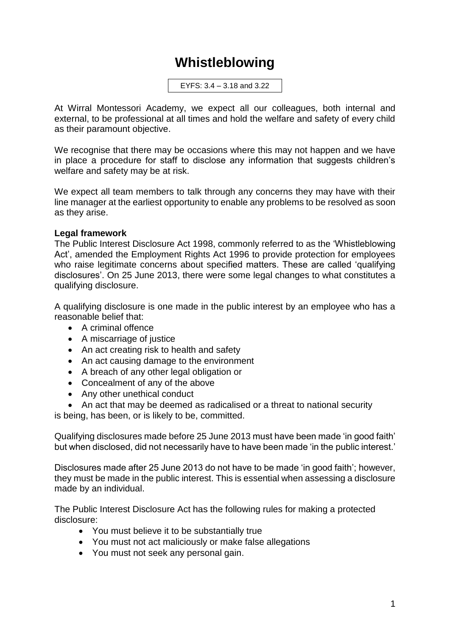## **Whistleblowing**

EYFS: 3.4 – 3.18 and 3.22

At Wirral Montessori Academy, we expect all our colleagues, both internal and external, to be professional at all times and hold the welfare and safety of every child as their paramount objective.

We recognise that there may be occasions where this may not happen and we have in place a procedure for staff to disclose any information that suggests children's welfare and safety may be at risk.

We expect all team members to talk through any concerns they may have with their line manager at the earliest opportunity to enable any problems to be resolved as soon as they arise.

## **Legal framework**

The Public Interest Disclosure Act 1998, commonly referred to as the 'Whistleblowing Act', amended the Employment Rights Act 1996 to provide protection for employees who raise legitimate concerns about specified matters. These are called 'qualifying disclosures'. On 25 June 2013, there were some legal changes to what constitutes a qualifying disclosure.

A qualifying disclosure is one made in the public interest by an employee who has a reasonable belief that:

- A criminal offence
- A miscarriage of justice
- An act creating risk to health and safety
- An act causing damage to the environment
- A breach of any other legal obligation or
- Concealment of any of the above
- Any other unethical conduct
- An act that may be deemed as radicalised or a threat to national security

is being, has been, or is likely to be, committed.

Qualifying disclosures made before 25 June 2013 must have been made 'in good faith' but when disclosed, did not necessarily have to have been made 'in the public interest.'

Disclosures made after 25 June 2013 do not have to be made 'in good faith'; however, they must be made in the public interest. This is essential when assessing a disclosure made by an individual.

The Public Interest Disclosure Act has the following rules for making a protected disclosure:

- You must believe it to be substantially true
- You must not act maliciously or make false allegations
- You must not seek any personal gain.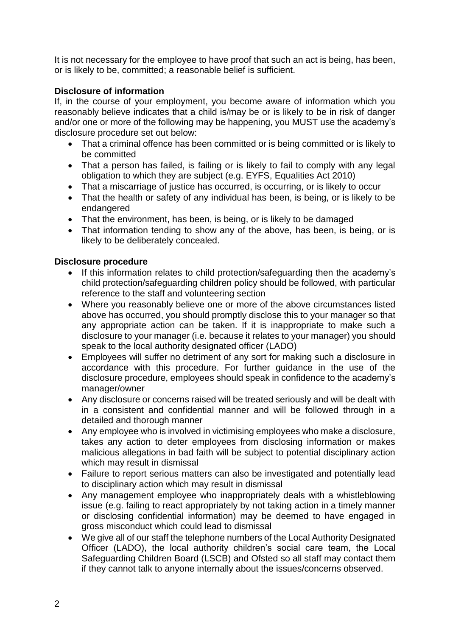It is not necessary for the employee to have proof that such an act is being, has been, or is likely to be, committed; a reasonable belief is sufficient.

## **Disclosure of information**

If, in the course of your employment, you become aware of information which you reasonably believe indicates that a child is/may be or is likely to be in risk of danger and/or one or more of the following may be happening, you MUST use the academy's disclosure procedure set out below:

- That a criminal offence has been committed or is being committed or is likely to be committed
- That a person has failed, is failing or is likely to fail to comply with any legal obligation to which they are subject (e.g. EYFS, Equalities Act 2010)
- That a miscarriage of justice has occurred, is occurring, or is likely to occur
- That the health or safety of any individual has been, is being, or is likely to be endangered
- That the environment, has been, is being, or is likely to be damaged
- That information tending to show any of the above, has been, is being, or is likely to be deliberately concealed.

## **Disclosure procedure**

- If this information relates to child protection/safeguarding then the academy's child protection/safeguarding children policy should be followed, with particular reference to the staff and volunteering section
- Where you reasonably believe one or more of the above circumstances listed above has occurred, you should promptly disclose this to your manager so that any appropriate action can be taken. If it is inappropriate to make such a disclosure to your manager (i.e. because it relates to your manager) you should speak to the local authority designated officer (LADO)
- Employees will suffer no detriment of any sort for making such a disclosure in accordance with this procedure. For further guidance in the use of the disclosure procedure, employees should speak in confidence to the academy's manager/owner
- Any disclosure or concerns raised will be treated seriously and will be dealt with in a consistent and confidential manner and will be followed through in a detailed and thorough manner
- Any employee who is involved in victimising employees who make a disclosure, takes any action to deter employees from disclosing information or makes malicious allegations in bad faith will be subject to potential disciplinary action which may result in dismissal
- Failure to report serious matters can also be investigated and potentially lead to disciplinary action which may result in dismissal
- Any management employee who inappropriately deals with a whistleblowing issue (e.g. failing to react appropriately by not taking action in a timely manner or disclosing confidential information) may be deemed to have engaged in gross misconduct which could lead to dismissal
- We give all of our staff the telephone numbers of the Local Authority Designated Officer (LADO), the local authority children's social care team, the Local Safeguarding Children Board (LSCB) and Ofsted so all staff may contact them if they cannot talk to anyone internally about the issues/concerns observed.